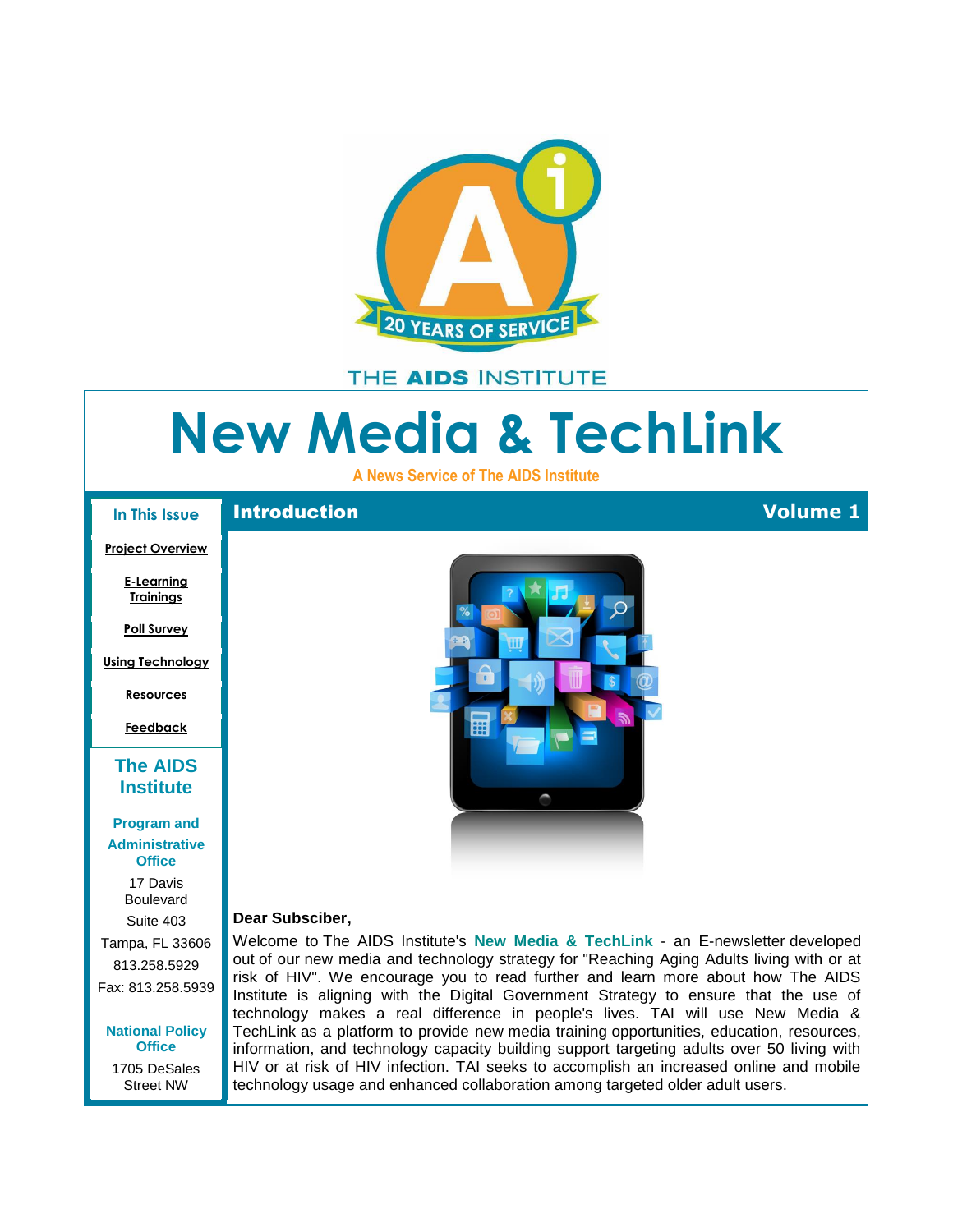<span id="page-0-0"></span>

# THE AIDS INSTITUTE

# **New Media & TechLink**

**A News Service of The AIDS Institute**

#### **In This Issue**

#### **[Project Overview](#page-0-0)**

**[E-Learning](#page-1-0)  [Trainings](#page-1-0)**

**[Poll Survey](#page-1-0)**

**[Using Technology](#page-2-0)**

**[Resources](#page-2-0)**

**[Feedback](#page-2-0)**

## **[The AIDS](http://r20.rs6.net/tn.jsp?et=1109379879950&s=0&e=0013peMwM9_zJELiJM2uZEGXTH-06b5imtnFkQVa0T773Y-KUoSOFEfdPm79B1_8wrZI9U79vn1399lFQlY501WTN5OZUXOrv7Cr7NZWRrRiSX8Gvas74KY0viCP4UGIa7J)  [Institute](http://r20.rs6.net/tn.jsp?et=1109379879950&s=0&e=0013peMwM9_zJELiJM2uZEGXTH-06b5imtnFkQVa0T773Y-KUoSOFEfdPm79B1_8wrZI9U79vn1399lFQlY501WTN5OZUXOrv7Cr7NZWRrRiSX8Gvas74KY0viCP4UGIa7J)**

## **[Program and](http://r20.rs6.net/tn.jsp?et=1109379879950&s=0&e=0013peMwM9_zJELiJM2uZEGXTH-06b5imtnFkQVa0T773Y-KUoSOFEfdPm79B1_8wrZI9U79vn1399lFQlY501WTN5OZUXOrv7Cr7NZWRrRiSX8Gvas74KY0viCP4UGIa7J)**

**Administrative Office**

> 17 Davis Boulevard

Suite 403 Tampa, FL 33606 813.258.5929 Fax: 813.258.5939

**[National](http://r20.rs6.net/tn.jsp?et=1109379879950&s=0&e=0013peMwM9_zJELiJM2uZEGXTH-06b5imtnFkQVa0T773Y-KUoSOFEfdPm79B1_8wrZI9U79vn1399lFQlY501WTN5OZUXOrv7Cr7NZWRrRiSX8Gvas74KY0viCP4UGIa7J) Policy Office** 1705 DeSales Street NW



### **Dear Subsciber,**

Welcome to The AIDS Institute's **New Media & TechLink** - an E-newsletter developed out of our new media and technology strategy for "Reaching Aging Adults living with or at risk of HIV". We encourage you to read further and learn more about how The AIDS Institute is aligning with the Digital Government Strategy to ensure that the use of technology makes a real difference in people's lives. TAI will use New Media & TechLink as a platform to provide new media training opportunities, education, resources, information, and technology capacity building support targeting adults over 50 living with HIV or at risk of HIV infection. TAI seeks to accomplish an increased online and mobile technology usage and enhanced collaboration among targeted older adult users.

## Introduction **Volume 1**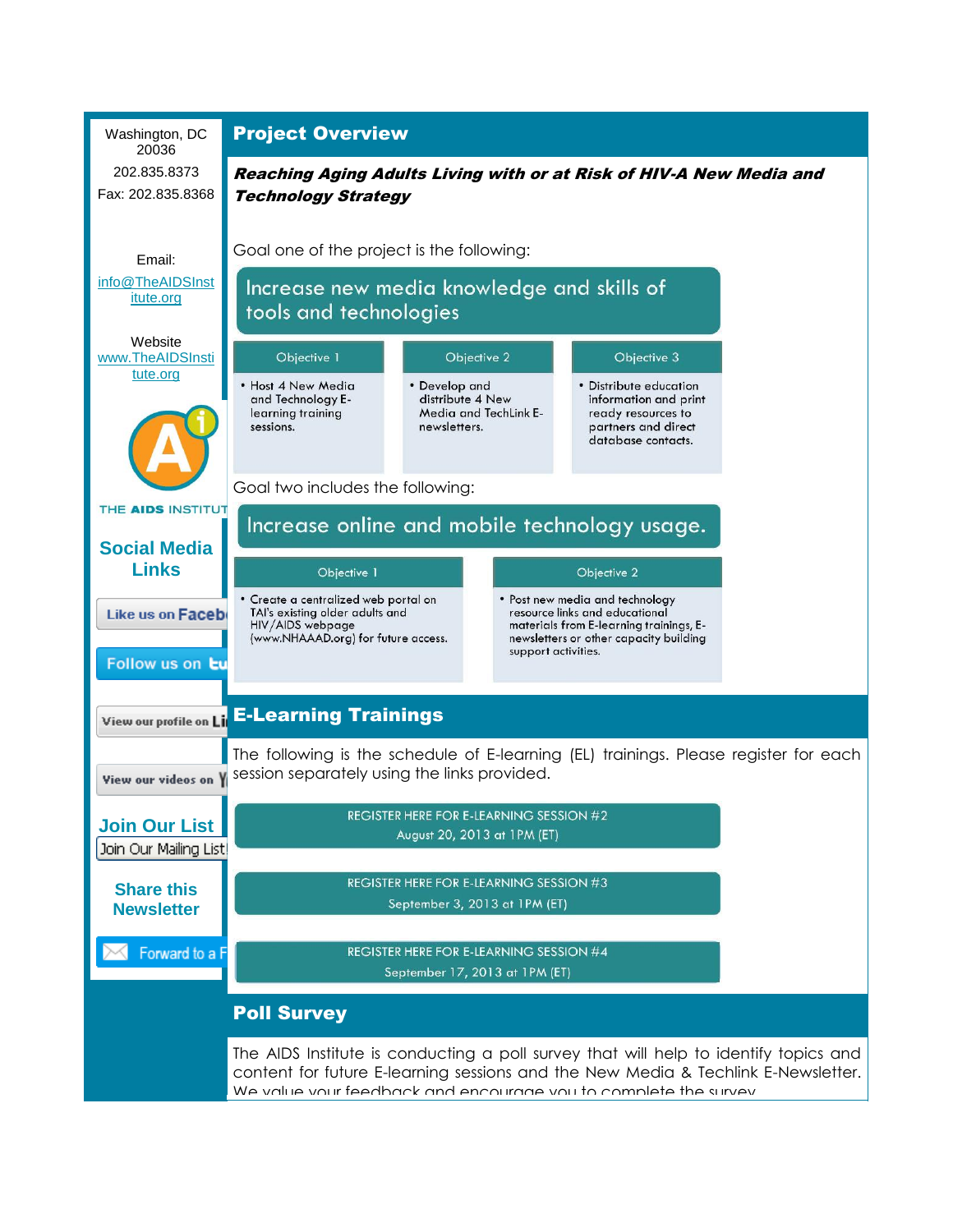<span id="page-1-0"></span>

| Washington, DC<br>20036                 | <b>Project Overview</b>                                                                                                                                                                                                                                                                      |                                                                            |  |                                                                                                                    |  |
|-----------------------------------------|----------------------------------------------------------------------------------------------------------------------------------------------------------------------------------------------------------------------------------------------------------------------------------------------|----------------------------------------------------------------------------|--|--------------------------------------------------------------------------------------------------------------------|--|
| 202.835.8373                            | Reaching Aging Adults Living with or at Risk of HIV-A New Media and                                                                                                                                                                                                                          |                                                                            |  |                                                                                                                    |  |
| Fax: 202.835.8368                       | <b>Technology Strategy</b>                                                                                                                                                                                                                                                                   |                                                                            |  |                                                                                                                    |  |
| Email:                                  | Goal one of the project is the following:                                                                                                                                                                                                                                                    |                                                                            |  |                                                                                                                    |  |
| info@TheAIDSInst<br>itute.org           | Increase new media knowledge and skills of                                                                                                                                                                                                                                                   |                                                                            |  |                                                                                                                    |  |
|                                         | tools and technologies                                                                                                                                                                                                                                                                       |                                                                            |  |                                                                                                                    |  |
| Website<br>www.TheAIDSInsti<br>tute.org | Objective 1                                                                                                                                                                                                                                                                                  | Objective 2                                                                |  | Objective 3                                                                                                        |  |
|                                         | • Host 4 New Media<br>and Technology E-<br>learning training<br>sessions.                                                                                                                                                                                                                    | • Develop and<br>distribute 4 New<br>Media and TechLink E-<br>newsletters. |  | • Distribute education<br>information and print<br>ready resources to<br>partners and direct<br>database contacts. |  |
| Goal two includes the following:        |                                                                                                                                                                                                                                                                                              |                                                                            |  |                                                                                                                    |  |
| THE AIDS INSTITUT                       | Increase online and mobile technology usage.                                                                                                                                                                                                                                                 |                                                                            |  |                                                                                                                    |  |
| <b>Social Media</b><br><b>Links</b>     | Objective 1<br>Objective 2                                                                                                                                                                                                                                                                   |                                                                            |  |                                                                                                                    |  |
| Like us on Faceb                        | • Create a centralized web portal on<br>• Post new media and technology<br>TAI's existing older adults and<br>resource links and educational<br>HIV/AIDS webpage<br>materials from E-learning trainings, E-<br>(www.NHAAAD.org) for future access.<br>newsletters or other capacity building |                                                                            |  |                                                                                                                    |  |
| Follow us on tu                         | support activities.                                                                                                                                                                                                                                                                          |                                                                            |  |                                                                                                                    |  |
| View our profile on Li                  | <b>E-Learning Trainings</b>                                                                                                                                                                                                                                                                  |                                                                            |  |                                                                                                                    |  |
| View our videos on                      | The following is the schedule of E-learning (EL) trainings. Please register for each<br>session separately using the links provided.                                                                                                                                                         |                                                                            |  |                                                                                                                    |  |
| <b>Join Our List</b>                    | <b>REGISTER HERE FOR E-LEARNING SESSION #2</b><br>August 20, 2013 at 1PM (ET)                                                                                                                                                                                                                |                                                                            |  |                                                                                                                    |  |
| Join Our Mailing List!                  |                                                                                                                                                                                                                                                                                              |                                                                            |  |                                                                                                                    |  |
| <b>Share this</b><br><b>Newsletter</b>  | <b>REGISTER HERE FOR E-LEARNING SESSION #3</b><br>September 3, 2013 at 1PM (ET)                                                                                                                                                                                                              |                                                                            |  |                                                                                                                    |  |
| Forward to a F                          | <b>REGISTER HERE FOR E-LEARNING SESSION #4</b><br>September 17, 2013 at 1PM (ET)                                                                                                                                                                                                             |                                                                            |  |                                                                                                                    |  |
| <b>Poll Survey</b>                      |                                                                                                                                                                                                                                                                                              |                                                                            |  |                                                                                                                    |  |
|                                         | The AIDS Institute is conducting a poll survey that will help to identify topics and<br>content for future E-learning sessions and the New Media & Techlink E-Newsletter.<br>We value your feedback and encourage you to complete the survey                                                 |                                                                            |  |                                                                                                                    |  |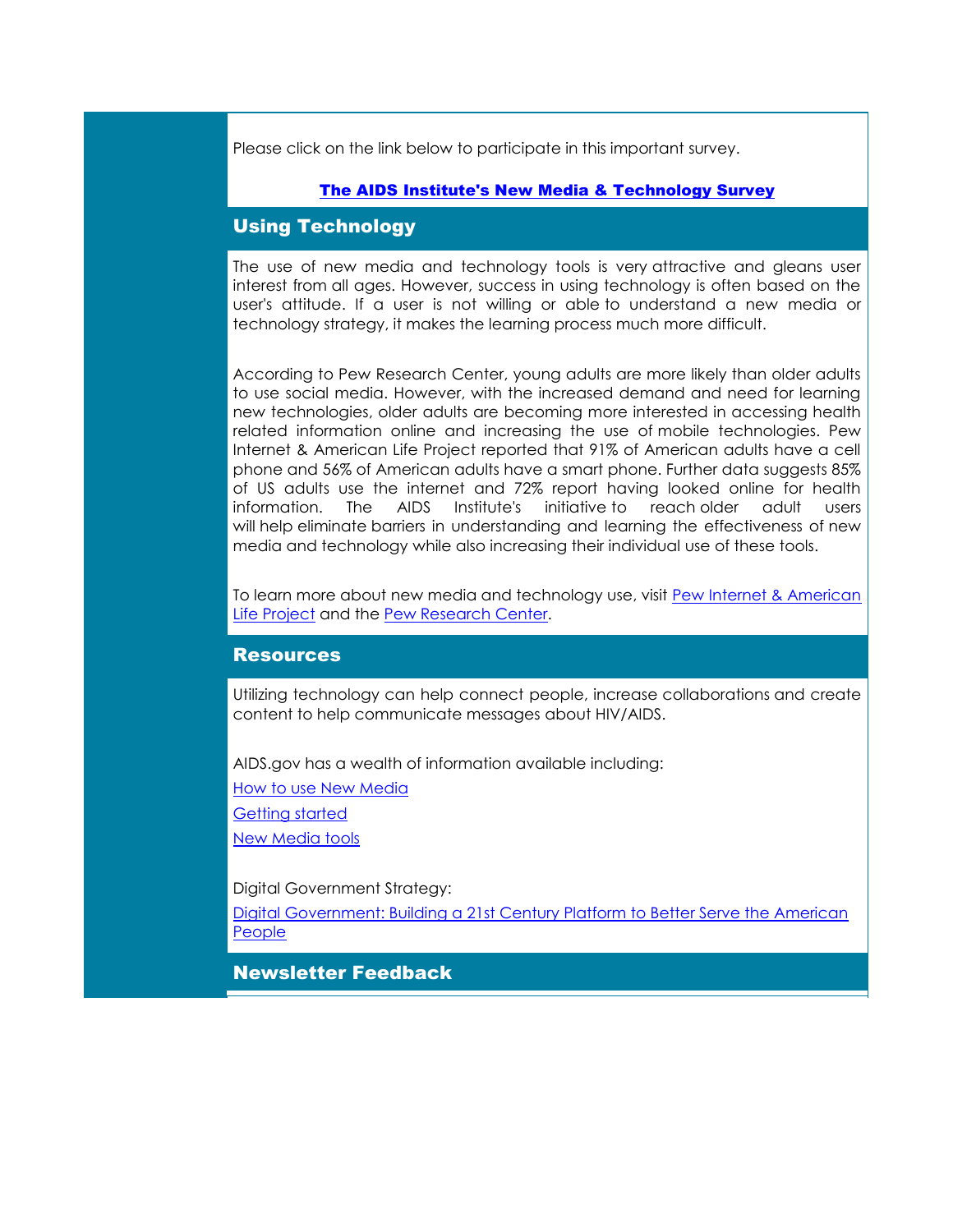<span id="page-2-0"></span>Please click on the link below to participate in this important survey.

## [The AIDS Institute's New Media & Technology Survey](http://r20.rs6.net/tn.jsp?t=liehjxnab.0.esayp6nab.8jy9x9dab.18492&ts=S0949&r=3&p=http%3A%2F%2Fsurvey.constantcontact.com%2Fsurvey%2Fa07e7ywsopjhk302fzi%2Fstart%3Fs%3Da02e9ogu8s2icx)

## Using Technology

The use of new media and technology tools is very attractive and gleans user interest from all ages. However, success in using technology is often based on the user's attitude. If a user is not willing or able to understand a new media or technology strategy, it makes the learning process much more difficult.

According to Pew Research Center, young adults are more likely than older adults to use social media. However, with the increased demand and need for learning new technologies, older adults are becoming more interested in accessing health related information online and increasing the use of mobile technologies. Pew Internet & American Life Project reported that 91% of American adults have a cell phone and 56% of American adults have a smart phone. Further data suggests 85% of US adults use the internet and 72% report having looked online for health information. The AIDS Institute's initiative to reach older adult users will help eliminate barriers in understanding and learning the effectiveness of new media and technology while also increasing their individual use of these tools.

To learn more about new media and technology use, visit [Pew Internet & American](http://r20.rs6.net/tn.jsp?t=liehjxnab.0.fsayp6nab.8jy9x9dab.18492&ts=S0949&r=3&p=http%3A%2F%2Fpewinternet.org%2FReports%2F2013%2Fsocial-networking-sites.aspx%3Futm_source%3DThe%2BAIDS%2BInstitute%2527s%2BNew%2BMedia%2B%2526%2BTechLink%2BE-Newsletter-Volume%2B1%26utm_campaign%3DNewsletter%26utm_medium%3Demail)  [Life Project](http://r20.rs6.net/tn.jsp?t=liehjxnab.0.fsayp6nab.8jy9x9dab.18492&ts=S0949&r=3&p=http%3A%2F%2Fpewinternet.org%2FReports%2F2013%2Fsocial-networking-sites.aspx%3Futm_source%3DThe%2BAIDS%2BInstitute%2527s%2BNew%2BMedia%2B%2526%2BTechLink%2BE-Newsletter-Volume%2B1%26utm_campaign%3DNewsletter%26utm_medium%3Demail) and the [Pew Research Center.](http://r20.rs6.net/tn.jsp?t=liehjxnab.0.gsayp6nab.8jy9x9dab.18492&ts=S0949&r=3&p=http%3A%2F%2Fwww.pewresearch.org%2F%3Futm_source%3DThe%2BAIDS%2BInstitute%2527s%2BNew%2BMedia%2B%2526%2BTechLink%2BE-Newsletter-Volume%2B1%26utm_campaign%3DNewsletter%26utm_medium%3Demail)

## **Resources**

Utilizing technology can help connect people, increase collaborations and create content to help communicate messages about HIV/AIDS.

AIDS.gov has a wealth of information available including:

[How to use New Media](http://r20.rs6.net/tn.jsp?t=liehjxnab.0.isayp6nab.8jy9x9dab.18492&ts=S0949&r=3&p=http%3A%2F%2Fwww.aids.gov%2Fusing-new-media%2Fnew-media-basics%2F%3Futm_source%3DThe%2BAIDS%2BInstitute%2527s%2BNew%2BMedia%2B%2526%2BTechLink%2BE-Newsletter-Volume%2B1%26utm_campaign%3DNewsletter%26utm_medium%3Demail)

[Getting started](http://r20.rs6.net/tn.jsp?t=liehjxnab.0.jsayp6nab.8jy9x9dab.18492&ts=S0949&r=3&p=http%3A%2F%2Fwww.aids.gov%2Fusing-new-media%2Fgetting-started%2Findex.html%3Futm_source%3DThe%2BAIDS%2BInstitute%2527s%2BNew%2BMedia%2B%2526%2BTechLink%2BE-Newsletter-Volume%2B1%26utm_campaign%3DNewsletter%26utm_medium%3Demail)

[New Media tools](http://r20.rs6.net/tn.jsp?t=liehjxnab.0.ksayp6nab.8jy9x9dab.18492&ts=S0949&r=3&p=http%3A%2F%2Fwww.aids.gov%2Fusing-new-media%2Ftools%2Findex.html%3Futm_source%3DThe%2BAIDS%2BInstitute%2527s%2BNew%2BMedia%2B%2526%2BTechLink%2BE-Newsletter-Volume%2B1%26utm_campaign%3DNewsletter%26utm_medium%3Demail)

Digital Government Strategy:

Digital [Government: Building a 21st Century Platform to Better Serve the American](http://r20.rs6.net/tn.jsp?t=liehjxnab.0.lsayp6nab.8jy9x9dab.18492&ts=S0949&r=3&p=http%3A%2F%2Fwww.whitehouse.gov%2Fsites%2Fdefault%2Ffiles%2Fomb%2Fegov%2Fdigital-government%2Fdigital-government-strategy.pdf%3Futm_source%3DThe%2BAIDS%2BInstitute%2527s%2BNew%2BMedia%2B%2526%2BTechLink%2BE-Newsletter-Volume%2B1%26utm_campaign%3DNewsletter%26utm_medium%3Demail)  **[People](http://r20.rs6.net/tn.jsp?t=liehjxnab.0.lsayp6nab.8jy9x9dab.18492&ts=S0949&r=3&p=http%3A%2F%2Fwww.whitehouse.gov%2Fsites%2Fdefault%2Ffiles%2Fomb%2Fegov%2Fdigital-government%2Fdigital-government-strategy.pdf%3Futm_source%3DThe%2BAIDS%2BInstitute%2527s%2BNew%2BMedia%2B%2526%2BTechLink%2BE-Newsletter-Volume%2B1%26utm_campaign%3DNewsletter%26utm_medium%3Demail)** 

Newsletter Feedback